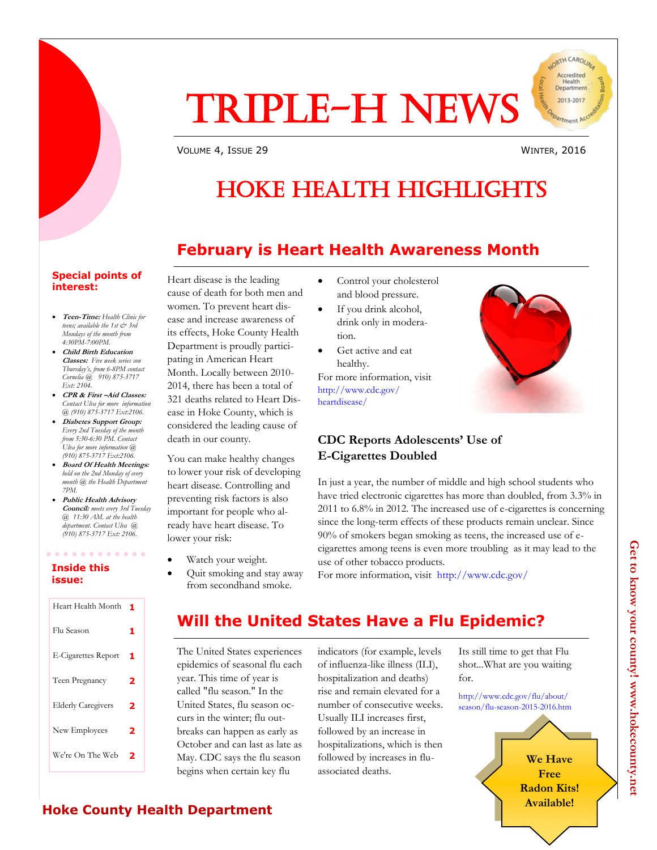

VOLUME 4, ISSUE 29 WINTER, 2016

JORTH CAROLIN Accredited Health<br>Department 2013-2017

# HOKE HEALTH HIGHLIGHTS

## **February is Heart Health Awareness Month**

#### **Special points of interest:**

- **Teen-Time:** *Health Clinic for teens; available the 1st & 3rd Mondays of the month from 4:30PM-7:00PM.*
- **Child Birth Education Classes:** *Five week series son Thursday's, from 6-8PM contact Cornelia @ 910) 875-3717 Ext: 2104.*
- **CPR & First –Aid Classes:**  *Contact Ulva for more information @ (910) 875-3717 Ext:2106.*
- **Diabetes Support Group:**  *Every 2nd Tuesday of the month from 5:30-6:30 PM. Contact Ulva for more information @ (910) 875-3717 Ext:2106.*
- **Board Of Health Meetings:**  *held on the 2nd Monday of every month @ the Health Department 7PM.*
- **Public Health Advisory Council:** *meets every 3rd Tuesday @ 11:30 AM. at the health department. Contact Ulva @ (910) 875-3717 Ext: 2106.*

. . . . . . . . .

#### **Inside this issue:**

| Heart Health Month         | 1 |
|----------------------------|---|
| Flu Season                 | 1 |
| <b>E-Cigarettes Report</b> | 1 |
| Teen Pregnancy             | 2 |
| <b>Elderly Caregivers</b>  | 2 |
| New Employees              | 2 |
| We're On The Web           | 7 |

Heart disease is the leading cause of death for both men and women. To prevent heart disease and increase awareness of its effects, Hoke County Health Department is proudly participating in American Heart Month. Locally between 2010- 2014, there has been a total of 321 deaths related to Heart Disease in Hoke County, which is considered the leading cause of death in our county.

You can make healthy changes to lower your risk of developing heart disease. Controlling and preventing risk factors is also important for people who already have heart disease. To lower your risk:

- Watch your weight.
- Quit smoking and stay away from secondhand smoke.
- Control your cholesterol and blood pressure.
- If you drink alcohol, drink only in moderation.
- Get active and eat healthy.

For more information, visit http://www.cdc.gov/ heartdisease/

## **CDC Reports Adolescents' Use of E-Cigarettes Doubled**

In just a year, the number of middle and high school students who have tried electronic cigarettes has more than doubled, from 3.3% in 2011 to 6.8% in 2012. The increased use of e-cigarettes is concerning since the long-term effects of these products remain unclear. Since 90% of smokers began smoking as teens, the increased use of ecigarettes among teens is even more troubling as it may lead to the use of other tobacco products.

For more information, visit http://www.cdc.gov/

# **Will the United States Have a Flu Epidemic?**

The United States experiences epidemics of seasonal flu each year. This time of year is called "flu season." In the United States, flu season occurs in the winter; flu outbreaks can happen as early as October and can last as late as May. CDC says the flu season begins when certain key flu

indicators (for example, levels of influenza-like illness (ILI), hospitalization and deaths) rise and remain elevated for a number of consecutive weeks. Usually ILI increases first, followed by an increase in hospitalizations, which is then followed by increases in fluassociated deaths.

Its still time to get that Flu shot...What are you waiting for.

http://www.cdc.gov/flu/about/ season/flu-season-2015-2016.htm



## **Hoke County Health Department**